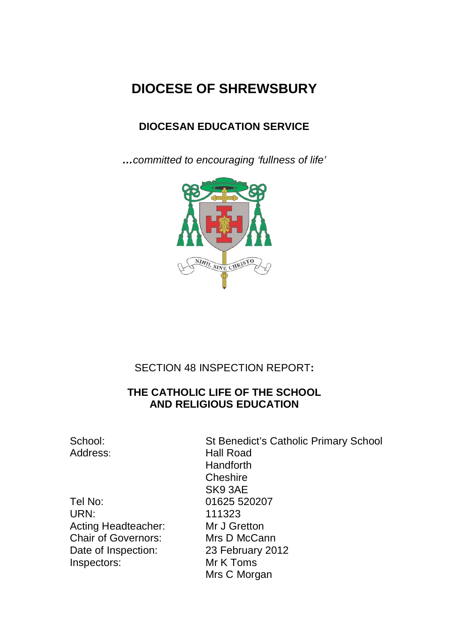# **DIOCESE OF SHREWSBURY**

## **DIOCESAN EDUCATION SERVICE**

*…committed to encouraging 'fullness of life'*



## SECTION 48 INSPECTION REPORT**:**

## **THE CATHOLIC LIFE OF THE SCHOOL AND RELIGIOUS EDUCATION**

Tel No: 01625 520207 URN: 111323 Acting Headteacher: Mr J Gretton Chair of Governors: Mrs D McCann Date of Inspection: 23 February 2012 Inspectors: Mr K Toms

School: St Benedict's Catholic Primary School Address: Hall Road **Handforth Cheshire** SK9 3AE Mrs C Morgan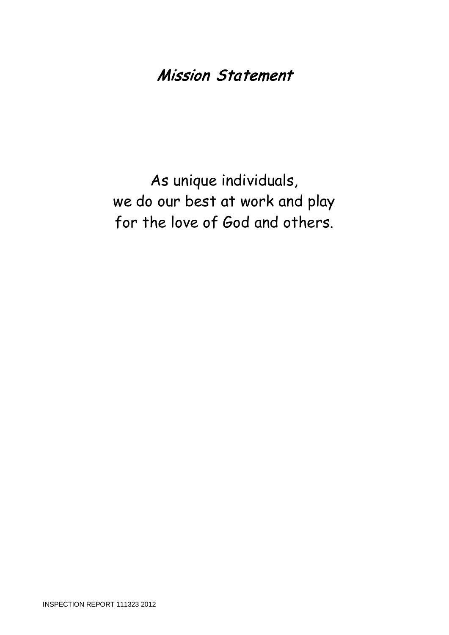# Mission Statement

As unique individuals, we do our best at work and play for the love of God and others.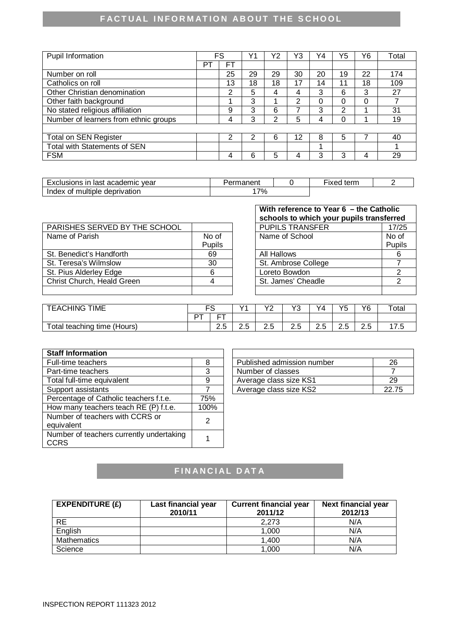# **FACTUAL INFORMATION ABOUT THE SCHOOL**

| Pupil Information                     |    | FS | v٠ | Y2 | Y3 | Y4       | Y5 | Υ6 | Total |
|---------------------------------------|----|----|----|----|----|----------|----|----|-------|
|                                       | P. | FТ |    |    |    |          |    |    |       |
| Number on roll                        |    | 25 | 29 | 29 | 30 | 20       | 19 | 22 | 174   |
| Catholics on roll                     |    | 13 | 18 | 18 | 17 | 14       | 11 | 18 | 109   |
| Other Christian denomination          |    | 2  | 5  | 4  | 4  | 3        | 6  | 3  | 27    |
| Other faith background                |    |    | 3  |    | 2  | $\Omega$ | 0  | 0  |       |
| No stated religious affiliation       |    | 9  | 3  | 6  |    | 3        | 2  |    | 31    |
| Number of learners from ethnic groups |    | 4  | 3  | っ  | 5  | 4        | 0  |    | 19    |
|                                       |    |    |    |    |    |          |    |    |       |
| <b>Total on SEN Register</b>          |    | າ  | 2  | 6  | 12 | 8        | 5  |    | 40    |
| <b>Total with Statements of SEN</b>   |    |    |    |    |    | 4        |    |    |       |
| <b>FSM</b>                            |    | 4  | 6  | 5  |    | 3        | 3  | 4  | 29    |

| vear<br>usions in<br>academic<br>last<br>$-v2$ | $-1 - 1$<br>'naneni |  | tern.<br>$-120$<br>IVEC |  |
|------------------------------------------------|---------------------|--|-------------------------|--|
| multiple<br>deprivation<br>Index<br>Οt         | 7%                  |  |                         |  |

|                               |               | scribols to which your pupils transierred |        |
|-------------------------------|---------------|-------------------------------------------|--------|
| PARISHES SERVED BY THE SCHOOL |               | <b>PUPILS TRANSFER</b>                    | 17/25  |
| Name of Parish                | No of         | Name of School                            | No of  |
|                               | <b>Pupils</b> |                                           | Pupils |
| St. Benedict's Handforth      | 69            | All Hallows                               |        |
| St. Teresa's Wilmslow         | 30            | St. Ambrose College                       |        |
| St. Pius Alderley Edge        | 6             | Loreto Bowdon                             |        |
| Christ Church, Heald Green    |               | St. James' Cheadle                        |        |
|                               |               |                                           |        |

| With reference to Year 6 - the Catholic<br>schools to which your pupils transferred |        |  |  |  |
|-------------------------------------------------------------------------------------|--------|--|--|--|
| <b>PUPILS TRANSFER</b>                                                              | 17/25  |  |  |  |
| Name of School                                                                      | No of  |  |  |  |
|                                                                                     | Pupils |  |  |  |
| All Hallows                                                                         |        |  |  |  |
| St. Ambrose College                                                                 |        |  |  |  |
| Loreto Bowdon                                                                       | 2      |  |  |  |
| St. James' Cheadle                                                                  | 2      |  |  |  |
|                                                                                     |        |  |  |  |

| <b>TIME</b><br>TEACHING.              |   |                                                | $\sqrt{4}$                      | $\sqrt{2}$<br>- | vo<br>u       | Y4                                          | <b>VE</b><br>ت | Y6               | Totai |
|---------------------------------------|---|------------------------------------------------|---------------------------------|-----------------|---------------|---------------------------------------------|----------------|------------------|-------|
|                                       | − | $- -$<br>-                                     |                                 |                 |               |                                             |                |                  |       |
| teaching<br>'Hours)<br>time (<br>otal |   | $\overline{\phantom{0}}$<br>$\sim$<br>∽<br>د.ء | $\overline{\phantom{0}}$<br>د.ء | -<br>ے .        | ⌒<br>∽<br>د.ء | $\overline{\phantom{0}}$<br>⌒<br>. .<br>د.ء | د.ء            | $\sim$<br>-<br>ت |       |

| <b>Staff Information</b>                                |      |                            |       |
|---------------------------------------------------------|------|----------------------------|-------|
| Full-time teachers                                      | 8    | Published admission number | 26    |
| Part-time teachers                                      | 3    | Number of classes          |       |
| Total full-time equivalent                              | 9    | Average class size KS1     | 29    |
| Support assistants                                      |      | Average class size KS2     | 22.75 |
| Percentage of Catholic teachers f.t.e.                  | 75%  |                            |       |
| How many teachers teach RE (P) f.t.e.                   | 100% |                            |       |
| Number of teachers with CCRS or<br>equivalent           | 2    |                            |       |
| Number of teachers currently undertaking<br><b>CCRS</b> |      |                            |       |

| Published admission number | 26    |
|----------------------------|-------|
| Number of classes          |       |
| Average class size KS1     | 29    |
| Average class size KS2     | 22.75 |

# **FINANCIAL DATA**

| EXPENDITURE $(E)$  | Last financial year<br>2010/11 | <b>Current financial year</b><br>2011/12 | <b>Next financial year</b><br>2012/13 |
|--------------------|--------------------------------|------------------------------------------|---------------------------------------|
| <b>RE</b>          |                                | 2,273                                    | N/A                                   |
| English            |                                | 1.000                                    | N/A                                   |
| <b>Mathematics</b> |                                | 1,400                                    | N/A                                   |
| Science            |                                | 1,000                                    | N/A                                   |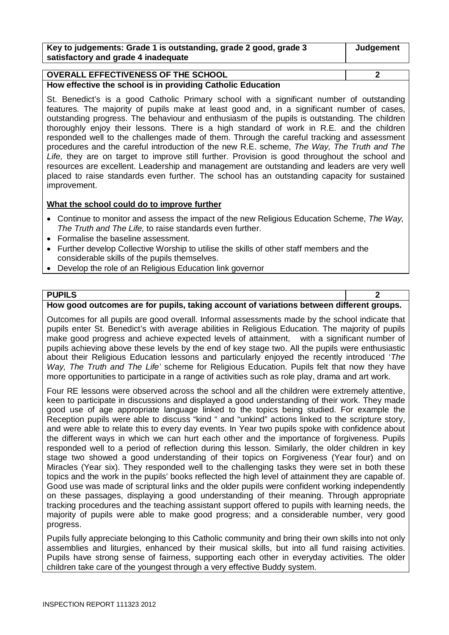| Key to judgements: Grade 1 is outstanding, grade 2 good, grade 3 | Judgement |
|------------------------------------------------------------------|-----------|
| satisfactory and grade 4 inadequate                              |           |

#### **OVERALL EFFECTIVENESS OF THE SCHOOL 2**

**How effective the school is in providing Catholic Education**

St. Benedict's is a good Catholic Primary school with a significant number of outstanding features. The majority of pupils make at least good and, in a significant number of cases, outstanding progress. The behaviour and enthusiasm of the pupils is outstanding. The children thoroughly enjoy their lessons. There is a high standard of work in R.E. and the children responded well to the challenges made of them. Through the careful tracking and assessment procedures and the careful introduction of the new R.E. scheme, *The Way, The Truth and The Life,* they are on target to improve still further. Provision is good throughout the school and resources are excellent. Leadership and management are outstanding and leaders are very well placed to raise standards even further. The school has an outstanding capacity for sustained improvement.

#### **What the school could do to improve further**

- Continue to monitor and assess the impact of the new Religious Education Scheme, *The Way, The Truth and The Life,* to raise standards even further.
- Formalise the baseline assessment.
- Further develop Collective Worship to utilise the skills of other staff members and the considerable skills of the pupils themselves.
- Develop the role of an Religious Education link governor

#### **PUPILS 2**

#### **How good outcomes are for pupils, taking account of variations between different groups.**

Outcomes for all pupils are good overall. Informal assessments made by the school indicate that pupils enter St. Benedict's with average abilities in Religious Education. The majority of pupils make good progress and achieve expected levels of attainment, with a significant number of pupils achieving above these levels by the end of key stage two. All the pupils were enthusiastic about their Religious Education lessons and particularly enjoyed the recently introduced '*The Way, The Truth and The Life'* scheme for Religious Education. Pupils felt that now they have more opportunities to participate in a range of activities such as role play, drama and art work.

Four RE lessons were observed across the school and all the children were extremely attentive, keen to participate in discussions and displayed a good understanding of their work. They made good use of age appropriate language linked to the topics being studied. For example the Reception pupils were able to discuss "kind " and "unkind" actions linked to the scripture story, and were able to relate this to every day events. In Year two pupils spoke with confidence about the different ways in which we can hurt each other and the importance of forgiveness. Pupils responded well to a period of reflection during this lesson. Similarly, the older children in key stage two showed a good understanding of their topics on Forgiveness (Year four) and on Miracles (Year six). They responded well to the challenging tasks they were set in both these topics and the work in the pupils' books reflected the high level of attainment they are capable of. Good use was made of scriptural links and the older pupils were confident working independently on these passages, displaying a good understanding of their meaning. Through appropriate tracking procedures and the teaching assistant support offered to pupils with learning needs, the majority of pupils were able to make good progress; and a considerable number, very good progress.

Pupils fully appreciate belonging to this Catholic community and bring their own skills into not only assemblies and liturgies, enhanced by their musical skills, but into all fund raising activities. Pupils have strong sense of fairness, supporting each other in everyday activities. The older children take care of the youngest through a very effective Buddy system.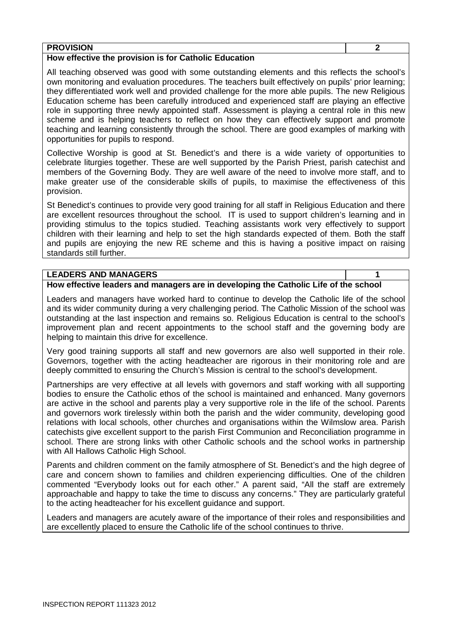#### **PROVISION 2**

#### **How effective the provision is for Catholic Education**

All teaching observed was good with some outstanding elements and this reflects the school's own monitoring and evaluation procedures. The teachers built effectively on pupils' prior learning; they differentiated work well and provided challenge for the more able pupils. The new Religious Education scheme has been carefully introduced and experienced staff are playing an effective role in supporting three newly appointed staff. Assessment is playing a central role in this new scheme and is helping teachers to reflect on how they can effectively support and promote teaching and learning consistently through the school. There are good examples of marking with opportunities for pupils to respond.

Collective Worship is good at St. Benedict's and there is a wide variety of opportunities to celebrate liturgies together. These are well supported by the Parish Priest, parish catechist and members of the Governing Body. They are well aware of the need to involve more staff, and to make greater use of the considerable skills of pupils, to maximise the effectiveness of this provision.

St Benedict's continues to provide very good training for all staff in Religious Education and there are excellent resources throughout the school. IT is used to support children's learning and in providing stimulus to the topics studied. Teaching assistants work very effectively to support children with their learning and help to set the high standards expected of them. Both the staff and pupils are enjoying the new RE scheme and this is having a positive impact on raising standards still further.

#### **LEADERS AND MANAGERS 1**

#### **How effective leaders and managers are in developing the Catholic Life of the school**

Leaders and managers have worked hard to continue to develop the Catholic life of the school and its wider community during a very challenging period. The Catholic Mission of the school was outstanding at the last inspection and remains so. Religious Education is central to the school's improvement plan and recent appointments to the school staff and the governing body are helping to maintain this drive for excellence.

Very good training supports all staff and new governors are also well supported in their role. Governors, together with the acting headteacher are rigorous in their monitoring role and are deeply committed to ensuring the Church's Mission is central to the school's development.

Partnerships are very effective at all levels with governors and staff working with all supporting bodies to ensure the Catholic ethos of the school is maintained and enhanced. Many governors are active in the school and parents play a very supportive role in the life of the school. Parents and governors work tirelessly within both the parish and the wider community, developing good relations with local schools, other churches and organisations within the Wilmslow area. Parish catechists give excellent support to the parish First Communion and Reconciliation programme in school. There are strong links with other Catholic schools and the school works in partnership with All Hallows Catholic High School.

Parents and children comment on the family atmosphere of St. Benedict's and the high degree of care and concern shown to families and children experiencing difficulties. One of the children commented "Everybody looks out for each other." A parent said, "All the staff are extremely approachable and happy to take the time to discuss any concerns." They are particularly grateful to the acting headteacher for his excellent guidance and support.

Leaders and managers are acutely aware of the importance of their roles and responsibilities and are excellently placed to ensure the Catholic life of the school continues to thrive.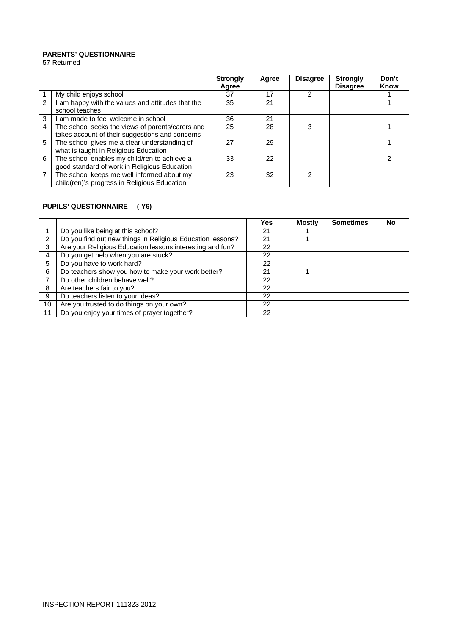#### **PARENTS' QUESTIONNAIRE**

57 Returned

|                |                                                                                                     | <b>Strongly</b><br>Agree | Agree | <b>Disagree</b> | <b>Strongly</b><br><b>Disagree</b> | Don't<br>Know |
|----------------|-----------------------------------------------------------------------------------------------------|--------------------------|-------|-----------------|------------------------------------|---------------|
|                | My child enjoys school                                                                              | 37                       | 17    | $\mathcal{P}$   |                                    |               |
| $\mathcal{P}$  | am happy with the values and attitudes that the<br>school teaches                                   | 35                       | 21    |                 |                                    |               |
| 3              | I am made to feel welcome in school                                                                 | 36                       | 21    |                 |                                    |               |
| 4              | The school seeks the views of parents/carers and<br>takes account of their suggestions and concerns | 25                       | 28    | 3               |                                    |               |
| 5              | The school gives me a clear understanding of<br>what is taught in Religious Education               | 27                       | 29    |                 |                                    |               |
| 6              | The school enables my child/ren to achieve a<br>good standard of work in Religious Education        | 33                       | 22    |                 |                                    |               |
| $\overline{7}$ | The school keeps me well informed about my<br>child(ren)'s progress in Religious Education          | 23                       | 32    | っ               |                                    |               |

#### **PUPILS' QUESTIONNAIRE ( Y6)**

|               |                                                            | Yes | <b>Mostly</b> | <b>Sometimes</b> | <b>No</b> |
|---------------|------------------------------------------------------------|-----|---------------|------------------|-----------|
|               | Do you like being at this school?                          | 21  |               |                  |           |
| $\mathcal{P}$ | Do you find out new things in Religious Education lessons? | 21  |               |                  |           |
| 3             | Are your Religious Education lessons interesting and fun?  | 22  |               |                  |           |
| 4             | Do you get help when you are stuck?                        | 22  |               |                  |           |
| 5             | Do you have to work hard?                                  | 22  |               |                  |           |
| 6             | Do teachers show you how to make your work better?         | 21  |               |                  |           |
|               | Do other children behave well?                             | 22  |               |                  |           |
| 8             | Are teachers fair to you?                                  | 22  |               |                  |           |
| 9             | Do teachers listen to your ideas?                          | 22  |               |                  |           |
| 10            | Are you trusted to do things on your own?                  | 22  |               |                  |           |
| 11            | Do you enjoy your times of prayer together?                | 22  |               |                  |           |